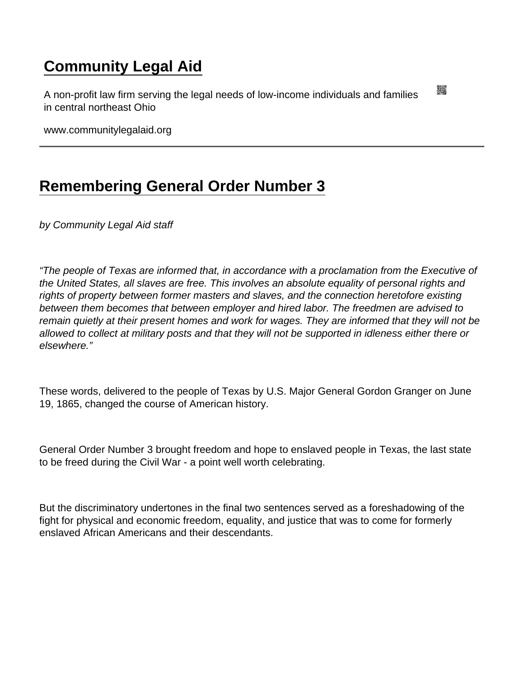# [Community Legal Aid](https://www.communitylegalaid.org/)

A non-profit law firm serving the legal needs of low-income individuals and families in central northeast Ohio

www.communitylegalaid.org

# [Remembering General Order Number 3](https://www.communitylegalaid.org/node/1744/remembering-general-order-number-3)

by Community Legal Aid staff

"The people of Texas are informed that, in accordance with a proclamation from the Executive of the United States, all slaves are free. This involves an absolute equality of personal rights and rights of property between former masters and slaves, and the connection heretofore existing between them becomes that between employer and hired labor. The freedmen are advised to remain quietly at their present homes and work for wages. They are informed that they will not be allowed to collect at military posts and that they will not be supported in idleness either there or elsewhere."

These words, delivered to the people of Texas by U.S. Major General Gordon Granger on June 19, 1865, changed the course of American history.

General Order Number 3 brought freedom and hope to enslaved people in Texas, the last state to be freed during the Civil War - a point well worth celebrating.

But the discriminatory undertones in the final two sentences served as a foreshadowing of the fight for physical and economic freedom, equality, and justice that was to come for formerly enslaved African Americans and their descendants.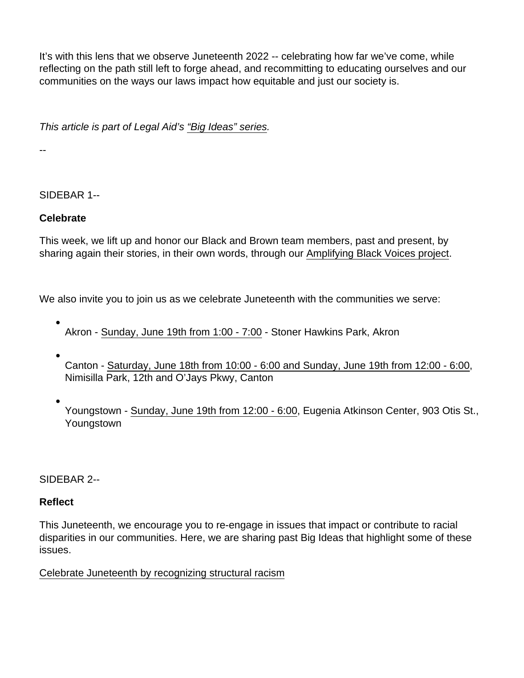It's with this lens that we observe Juneteenth 2022 -- celebrating how far we've come, while reflecting on the path still left to forge ahead, and recommitting to educating ourselves and our communities on the ways our laws impact how equitable and just our society is.

This article is part of Legal Aid's ["Big Ideas" series](http://www.communitylegalaid.org/bigideas).

--

## SIDEBAR 1--

Celebrate

This week, we lift up and honor our Black and Brown team members, past and present, by sharing again their stories, in their own words, through our [Amplifying Black Voices project.](http://www.communitylegalaid.org/blackhistory)

We also invite you to join us as we celebrate Juneteenth with the communities we serve:

- Akron - [Sunday, June 19th from 1:00 7:00](https://happeningnext.com/event/akron-juneteenth-festival-at-stoner-hawkins-park-eid3a08mutdds) Stoner Hawkins Park, Akron
- Canton - [Saturday, June 18th from 10:00 6:00 and Sunday, June 19th from 12:00 6:00,](https://www.visitcanton.com/events/juneteenth-community-festival/) Nimisilla Park, 12th and O'Jays Pkwy, Canton
- Youngstown [Sunday, June 19th from 12:00 6:00,](https://www.youngstownjuneteenth.com/events/2022-juneteenth-cultural-festival) Eugenia Atkinson Center, 903 Otis St., Youngstown

### SIDEBAR 2--

### Reflect

This Juneteenth, we encourage you to re-engage in issues that impact or contribute to racial disparities in our communities. Here, we are sharing past Big Ideas that highlight some of these issues.

### [Celebrate Juneteenth by recognizing structural racism](https://www.communitylegalaid.org/node/1516/celebrate-juneteenth-recognizing-structural-racism)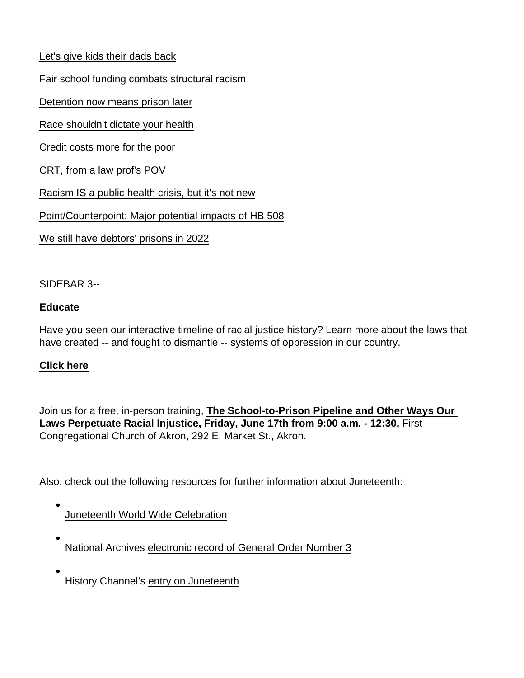[Let's give kids their dads back](https://www.communitylegalaid.org/node/1540/lets-give-kids-their-dads-back)

[Fair school funding combats structural racism](https://www.communitylegalaid.org/node/1572/fair-school-funding-combats-structural-racism)

[Detention now means prison later](https://www.communitylegalaid.org/node/1586/detention-now-means-prison-later)

[Race shouldn't dictate your health](https://www.communitylegalaid.org/node/1592/race-shouldn’t-dictate-your-health)

[Credit costs more for the poor](https://www.communitylegalaid.org/node/1648/credit-costs-more-poor)

[CRT, from a law prof's POV](https://www.communitylegalaid.org/node/1666/crt-law-prof’s-pov)

[Racism IS a public health crisis, but it's not new](https://www.communitylegalaid.org/node/1670/racism-public-health-crisis-its-not-new)

[Point/Counterpoint: Major potential impacts of HB 508](https://www.communitylegalaid.org/node/1712/point-counterpoint-major-potential-impacts-hb-508)

[We still have debtors' prisons in 2022](https://www.communitylegalaid.org/node/1725/we-still-have-debtors-prisons-2022)

#### SIDEBAR 3--

#### Educate

Have you seen our interactive timeline of racial justice history? Learn more about the laws that have created -- and fought to dismantle -- systems of oppression in our country.

#### [Click here](https://www.communitylegalaid.org/racialjustice)

Join us for a free, in-person training, [The School-to-Prison Pipeline and Other Ways Our](https://web.charityengine.net/Default.aspx?tsid=20992)  [Laws Perpetuate Racial Injustice](https://web.charityengine.net/Default.aspx?tsid=20992) , Friday, June 17th from 9:00 a.m. - 12:30, First Congregational Church of Akron, 292 E. Market St., Akron.

Also, check out the following resources for further information about Juneteenth:

## [Juneteenth World Wide Celebration](https://www.juneteenth.com/)

- National Archives [electronic record of General Order Number 3](https://catalog.archives.gov/id/182778372)
- History Channel's [entry on Juneteenth](https://www.history.com/news/what-is-juneteenth)